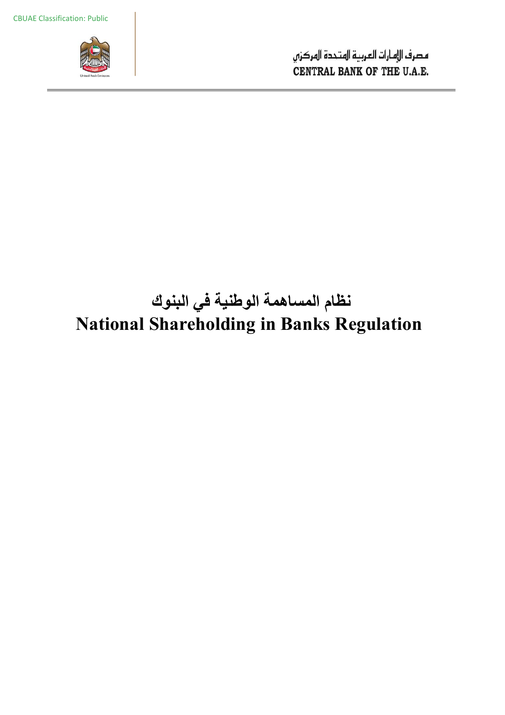

# **نظام المساھمة الوطنیة في البنوك National Shareholding in Banks Regulation**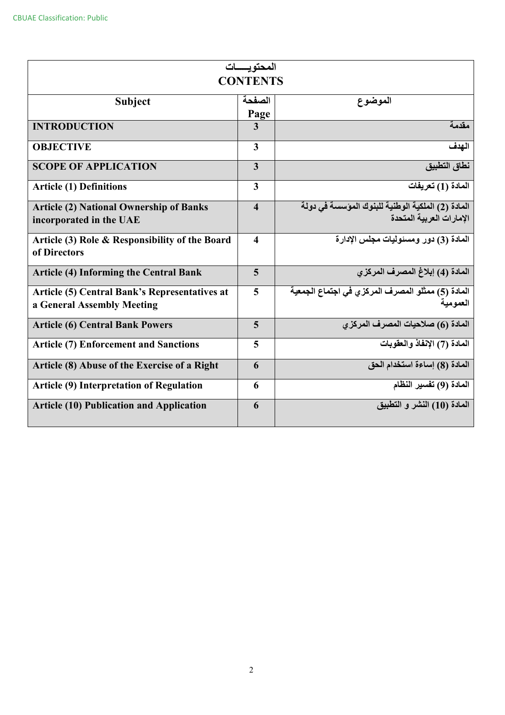| المحتو بسسات<br><b>CONTENTS</b>                      |                         |                                                     |  |  |  |
|------------------------------------------------------|-------------------------|-----------------------------------------------------|--|--|--|
|                                                      |                         |                                                     |  |  |  |
| <b>Subject</b>                                       | الصفحة                  | الموضوع                                             |  |  |  |
|                                                      | Page                    |                                                     |  |  |  |
| <b>INTRODUCTION</b>                                  | $\overline{3}$          | مقدمة                                               |  |  |  |
| <b>OBJECTIVE</b>                                     | 3                       | الهدف                                               |  |  |  |
| <b>SCOPE OF APPLICATION</b>                          | 3                       | نطاق التطبيق                                        |  |  |  |
| <b>Article (1) Definitions</b>                       | 3                       | المادة (1) تعريفات                                  |  |  |  |
| <b>Article (2) National Ownership of Banks</b>       | $\overline{\mathbf{4}}$ | المادة (2) الملكية الوطنية للبنوك المؤسسة في دولة   |  |  |  |
| incorporated in the UAE                              |                         | الإمار ات العر بية المتحدة                          |  |  |  |
| Article (3) Role & Responsibility of the Board       | 4                       | المادة (3) دور ومسئوليات مجلس الإدارة               |  |  |  |
| of Directors                                         |                         |                                                     |  |  |  |
| <b>Article (4) Informing the Central Bank</b>        | 5                       | المادة (4) إبلاغ المصرف المركزي                     |  |  |  |
| <b>Article (5) Central Bank's Representatives at</b> | 5                       | المادة (5) ممثِّلو المصرف المركزي في اجتماع الجمعية |  |  |  |
| a General Assembly Meeting                           |                         | العمو مية                                           |  |  |  |
| <b>Article (6) Central Bank Powers</b>               | 5                       | المادة (6) صلاحيات المصرف المركزي                   |  |  |  |
| <b>Article (7) Enforcement and Sanctions</b>         | 5                       | المادة (7) الإنفاذ والعقوبات                        |  |  |  |
| Article (8) Abuse of the Exercise of a Right         | 6                       | المادة (8) إساءة استخدام الحق                       |  |  |  |
| <b>Article (9) Interpretation of Regulation</b>      | 6                       | المادة (9) تفسير النظام                             |  |  |  |
| <b>Article (10) Publication and Application</b>      | 6                       | المادة (10) النشر و التطبيق                         |  |  |  |
|                                                      |                         |                                                     |  |  |  |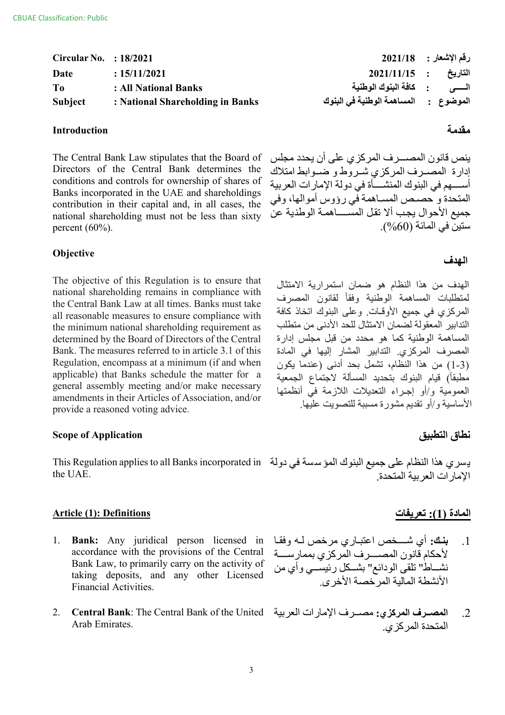| Circular No. $\therefore$ 18/2021 |                                  |                                              | رقم الإشعار :      2021/18 |
|-----------------------------------|----------------------------------|----------------------------------------------|----------------------------|
| Date                              | : 15/11/2021                     | التاريخ : 2021/11/15                         |                            |
| T <sub>0</sub>                    | : All National Banks             |                                              |                            |
| <b>Subject</b>                    | : National Shareholding in Banks | الموضوع    :      المساهمة الوطنية فى البنوك |                            |

## **مقدمة Introduction**

The Central Bank Law stipulates that the Board of Directors of the Central Bank determines the conditions and controls for ownership of shares of Banks incorporated in the UAE and shareholdings contribution in their capital and, in all cases, the national shareholding must not be less than sixty percent (60%).

## **الھدف Objective**

The objective of this Regulation is to ensure that national shareholding remains in compliance with the Central Bank Law at all times. Banks must take all reasonable measures to ensure compliance with the minimum national shareholding requirement as determined by the Board of Directors of the Central Bank. The measures referred to in article 3.1 of this Regulation, encompass at a minimum (if and when applicable) that Banks schedule the matter for a general assembly meeting and/or make necessary amendments in their Articles of Association, and/or provide a reasoned voting advice.

## **Scope of Application التطبیق نطاق**

یسري ھذا النظام على جمیع البنوك المؤسسة في دولة This Regulation applies to all Banks incorporated in the UAE.

## **المادة (1): تعریفات Definitions :)1 (Article**

- **Bank:** Any juridical person licensed in accordance with the provisions of the Central Bank Law, to primarily carry on the activity of taking deposits, and any other Licensed Financial Activities. 1.
- **Central Bank**: The Central Bank of the United Arab Emirates. 2.

ینص قانون المص�����رف المركزي على أن یحدد مجلس إدارة المصرف المركزي شروط و ضوابط امتلاك أسسهم في البنوك المنشسأة في دولة الإمارات العربية المتحدة و حصيص المساهمة في رؤوس أموالها، وفي جمیع الأحوال یجب ألا تقل المســـــاهمــة الوطنیة عن ستین في المائة (%60).

الھدف من ھذا النظام ھو ضمان استمراریة الامتثال لمتطلبات المساھمة الوطنیة وفقاً لقانون المصرف المركزي في جمیع الأوقـات. وعلى البنوك اتخاذ كافة التدابیر المعقولة لضمان الامتثال للحد الأدنى من متطلب المساھمة الوطنیة كما ھو محدد من قبل مجلس إدارة المصرف المركزي. التدابیر المشار إلیھا في المادة (1-3) من ھذا النظام، تشمل بحد أدنى (عندما یكون مطبقاً) قیام البنوك بتحدید المسألة لاجتماع الجمعیة العمومیة و/أو إجـراء التعدیلات اللازمة في أنظمتھا الأساسیة و/أو تقدیم مشورة مسببة للتصویت علیھا.

الإمارات العربیة المتحدة.

- 1. **بنك:** أي شـــخص اعتبـاري مرخص لــه وفقـا لأحكام قانون المصســرف المركزي بممار ســــة نشـــاط" تلقى الودائع" بشــكل رئيســـي وأي من الأنشطة المالیة المرخصة الأخرى.
- .2 **المص���رف المركزي:** مص���رف الإمارات العربیة المتحدة المركزي.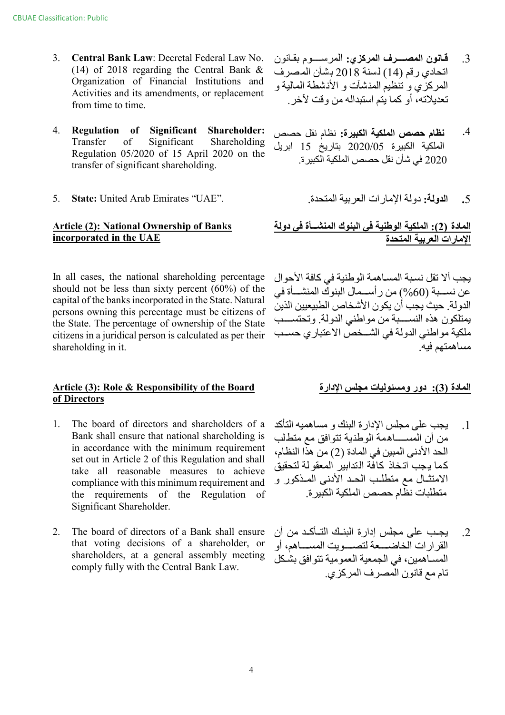- **Central Bank Law**: Decretal Federal Law No. (14) of 2018 regarding the Central Bank & Organization of Financial Institutions and Activities and its amendments, or replacement from time to time. 3.
- **Regulation of Significant Shareholder:** .4 **نظام حصص الملكیة الكبیرة:** نظام نقل حصص Transfer of Significant Shareholding Regulation 05/2020 of 15 April 2020 on the transfer of significant shareholding. 4.
- **.**5 **الدولة:** دولة الإمارات العربیة المتحدة. ."UAE "Emirates Arab United **:State** 5.

## **Article (2): National Ownership of Banks incorporated in the UAE**

In all cases, the national shareholding percentage should not be less than sixty percent (60%) of the capital of the banks incorporated in the State. Natural persons owning this percentage must be citizens of the State. The percentage of ownership of the State citizens in a juridical person is calculated as per their shareholding in it.

## **Article (3): Role & Responsibility of the Board الإدارة مجلس ومسئولیات دور :)3 (المادة of Directors**

- The board of directors and shareholders of a Bank shall ensure that national shareholding is in accordance with the minimum requirement set out in Article 2 of this Regulation and shall take all reasonable measures to achieve compliance with this minimum requirement and the requirements of the Regulation of Significant Shareholder. 1.
- The board of directors of a Bank shall ensure that voting decisions of a shareholder, or shareholders, at a general assembly meeting comply fully with the Central Bank Law. 2.
- .3 **ق�انون المص������رف المركزي:** المرس������وم بق�انون اتحادي رقم (14) لسنة 2018 بشأن المصرف المركزي و تنظیم المنشآت و الأنشطة المالیة و تعدیلاتھ، أو كما یتم استبدالھ من وقت لآخر.
- الملكیة الكبیرة 2020/05 بتاریخ 15 ابریل 2020 في شأن نقل حصص الملكیة الكبیرة.
	-

## **المادة (2): الملكیة الوطنیة في البنوك المنش���أة في دولة الإمارات العربیة المتحدة**

یجب ألا تقل نس�بة المس�اھمة الوطنیة في كافة الأحوال عن نســبة (60%) من رأســمال البنوك المنشــأة في الدولة. حیث یجب أن یكون الأشخاص الطبیعیین الذین يمتلكون هذه النســـبة من مواطني الدولة. وتحتســـب ملكية مواطني الدولة في الشــخص الاعتباري حســب مساھمتھم فیھ.

- .1 یجب على مجلس الإدارة البنك و مساھمیھ التأكد من أن المس�������اھمة الوطنیة تتوافق مع متطلب الحد الأدنى المبین في المادة (2) من ھذا النظام، كما یجب اتخاذ كافة التدابیر المعقولة لتحقیق الامتثــال مع متطلـب الحـد الأدنى المـذكور و متطلبات نظام حصص الملكیة الكبیرة.
- 2. یجب على مجلس إدارة البنك التـأكـد من أن القرارات الخاضيعة لتصبوبت المســاهم، أو المسـاهمین، في الجمعیة العمومیة تتوافق بشكل تام مع قانون المصرف المركزي.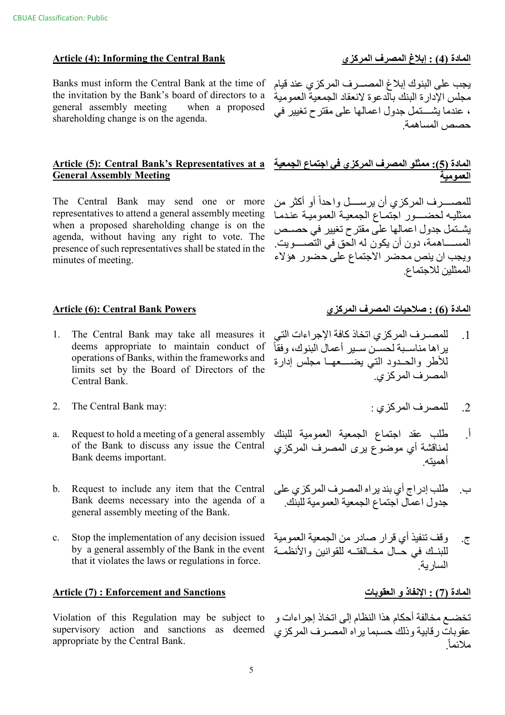## **Article (4): Informing the Central Bank**

Banks must inform the Central Bank at the time of the invitation by the Bank's board of directors to a general assembly meeting when a proposed shareholding change is on the agenda.

The Central Bank may send one or more representatives to attend a general assembly meeting when a proposed shareholding change is on the agenda, without having any right to vote. The presence of such representatives shall be stated in the minutes of meeting.

## **Article (6): Central Bank Powers**

- $1_{-}$ The Central Bank may take all measures it deems appropriate to maintain conduct of operations of Banks, within the frameworks and limits set by the Board of Directors of the Central Bank.
- $2.$ The Central Bank may:
- Request to hold a meeting of a general assembly a. of the Bank to discuss any issue the Central Bank deems important.
- $<sub>b</sub>$ .</sub> Request to include any item that the Central Bank deems necessary into the agenda of a general assembly meeting of the Bank.
- $c.$ Stop the implementation of any decision issued by a general assembly of the Bank in the event that it violates the laws or regulations in force.

## **Article (7): Enforcement and Sanctions**

Violation of this Regulation may be subject to supervisory action and sanctions as deemed appropriate by the Central Bank.

## المادة (4) : إبلاغ المصرف المركزي

يجب على البنوك إبلاغ المصـــرف المركزي عند قيام مجلس الإدار ة البنك بالدعو ة لانعقاد الجمعية العمو مية ، عندما بِشَـــنّمل جدول اعمالها على مقترح تغييرٌ في حصص المساهمة

# المادة (5): ممثلو المصرف المركزي في اجتماع الجمعية Article (5): Central Bank's Representatives at a<br>العمومية

للمصــــــــــر ف المر كز ي أن ير ســــــــل و احداً أو أكثر من ممثليه لحضسور اجتماع الجمعية العمومية عندما يشـتمل جدول اعمالها على مقترح تغيير في حصـص المســـــاهمة، دون أن يكون له الّحق في التصـــــويت. ويجب ان ينص محضر الاجتماع على حضور هؤلاء الممثلين للاجتماع

## المادة (6) : صلاحيات المصرف المركزي

- للمصرف المركزي اتخاذ كافة الإجراءات التي  $\cdot$ 1 ير اها مناسـبـة لـحسـّن ســير أعمالُ البنوك، وفقاً للأطر والحدود التى يضسعها مجلس إدارة المصر ف المر كز ي
	- للمصر ف المركز ي :  $\cdot$  2
- طلب عقد اجتماع الجمعية العمومية للبنك ाँ لمناقشة أي موضوع يرى المصرف المركزي<br>أهميته
- طلب إدراج أي بند يراه المصرف المركزي على ب. جدول اعمال اجتماع الجمعية العمومية للبنك
- وقف تنفيذ أي قرار صادر من الجمعية العمومية ج. للبنـك في حَــال مخــالفتــه للقوانين والأنظمــة السار بة

## المادة (7) : الإنفاذ و العقوبات

تخضــع مخالفة أحكام هذا النظام إلى اتخاذ إجراءات و عقوبات رقابية وذلك حسبما يراه المصرف المركزي ملائماً.